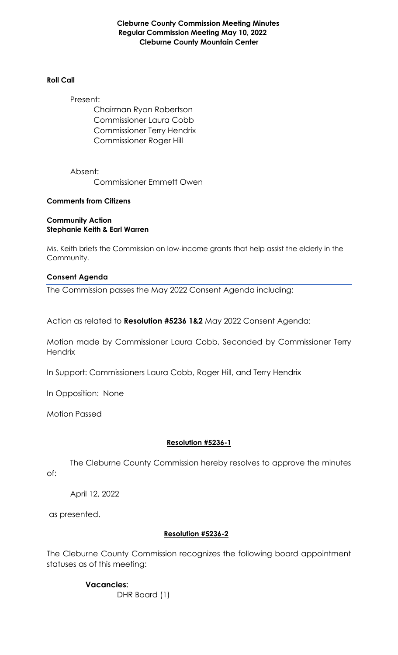**Cleburne County Commission Meeting Minutes Regular Commission Meeting May 10, 2022 Cleburne County Mountain Center**

#### **Roll Call**

Present:

Chairman Ryan Robertson Commissioner Laura Cobb Commissioner Terry Hendrix Commissioner Roger Hill

Absent: Commissioner Emmett Owen

### **Comments from Citizens**

### **Community Action Stephanie Keith & Earl Warren**

Ms. Keith briefs the Commission on low-income grants that help assist the elderly in the Community.

### **Consent Agenda**

The Commission passes the May 2022 Consent Agenda including:

Action as related to **Resolution #5236 1&2** May 2022 Consent Agenda:

Motion made by Commissioner Laura Cobb, Seconded by Commissioner Terry **Hendrix** 

In Support: Commissioners Laura Cobb, Roger Hill, and Terry Hendrix

In Opposition: None

Motion Passed

### **Resolution #5236-1**

The Cleburne County Commission hereby resolves to approve the minutes of:

April 12, 2022

as presented.

### **Resolution #5236-2**

The Cleburne County Commission recognizes the following board appointment statuses as of this meeting:

> **Vacancies:**  DHR Board (1)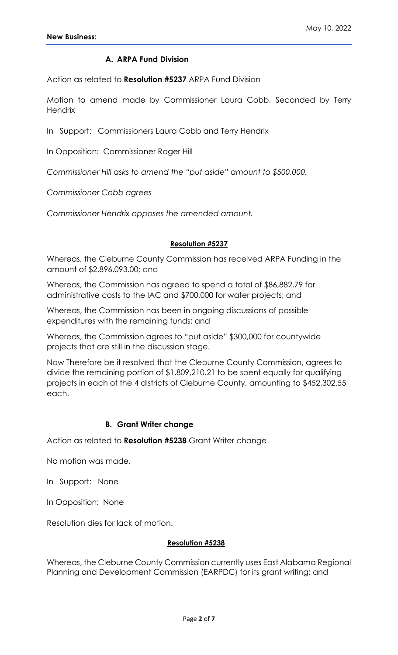### **A. ARPA Fund Division**

Action as related to **Resolution #5237** ARPA Fund Division

Motion to amend made by Commissioner Laura Cobb, Seconded by Terry **Hendrix** 

In Support: Commissioners Laura Cobb and Terry Hendrix

In Opposition: Commissioner Roger Hill

*Commissioner Hill asks to amend the "put aside" amount to \$500,000.*

*Commissioner Cobb agrees*

*Commissioner Hendrix opposes the amended amount.*

#### **Resolution #5237**

Whereas, the Cleburne County Commission has received ARPA Funding in the amount of \$2,896,093.00; and

Whereas, the Commission has agreed to spend a total of \$86,882.79 for administrative costs to the IAC and \$700,000 for water projects; and

Whereas, the Commission has been in ongoing discussions of possible expenditures with the remaining funds; and

Whereas, the Commission agrees to "put aside" \$300,000 for countywide projects that are still in the discussion stage.

Now Therefore be it resolved that the Cleburne County Commission, agrees to divide the remaining portion of \$1,809,210.21 to be spent equally for qualifying projects in each of the 4 districts of Cleburne County, amounting to \$452,302.55 each.

#### **B. Grant Writer change**

Action as related to **Resolution #5238** Grant Writer change

No motion was made.

In Support: None

In Opposition: None

Resolution dies for lack of motion.

#### **Resolution #5238**

Whereas, the Cleburne County Commission currently uses East Alabama Regional Planning and Development Commission (EARPDC) for its grant writing; and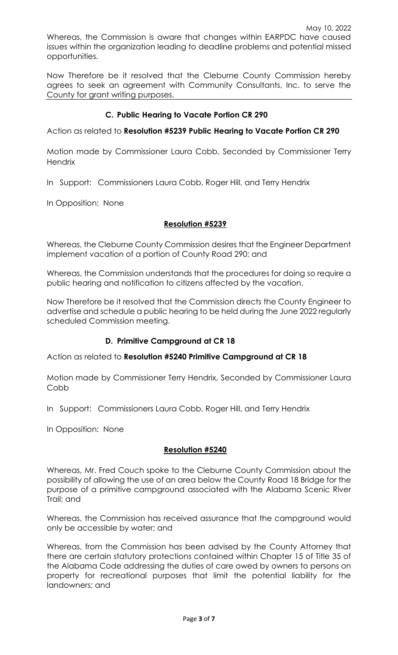Now Therefore be it resolved that the Cleburne County Commission hereby agrees to seek an agreement with Community Consultants, Inc. to serve the County for grant writing purposes.

### **C. Public Hearing to Vacate Portion CR 290**

Action as related to **Resolution #5239 Public Hearing to Vacate Portion CR 290**

Motion made by Commissioner Laura Cobb, Seconded by Commissioner Terry **Hendrix** 

In Support: Commissioners Laura Cobb, Roger Hill, and Terry Hendrix

In Opposition: None

opportunities.

### **Resolution #5239**

Whereas, the Cleburne County Commission desires that the Engineer Department implement vacation of a portion of County Road 290; and

Whereas, the Commission understands that the procedures for doing so require a public hearing and notification to citizens affected by the vacation.

Now Therefore be it resolved that the Commission directs the County Engineer to advertise and schedule a public hearing to be held during the June 2022 regularly scheduled Commission meeting.

### **D. Primitive Campground at CR 18**

Action as related to **Resolution #5240 Primitive Campground at CR 18**

Motion made by Commissioner Terry Hendrix, Seconded by Commissioner Laura Cobb

In Support: Commissioners Laura Cobb, Roger Hill, and Terry Hendrix

In Opposition: None

### **Resolution #5240**

Whereas, Mr. Fred Couch spoke to the Cleburne County Commission about the possibility of allowing the use of an area below the County Road 18 Bridge for the purpose of a primitive campground associated with the Alabama Scenic River Trail; and

Whereas, the Commission has received assurance that the campground would only be accessible by water; and

Whereas, from the Commission has been advised by the County Attorney that there are certain statutory protections contained within Chapter 15 of Title 35 of the Alabama Code addressing the duties of care owed by owners to persons on property for recreational purposes that limit the potential liability for the landowners; and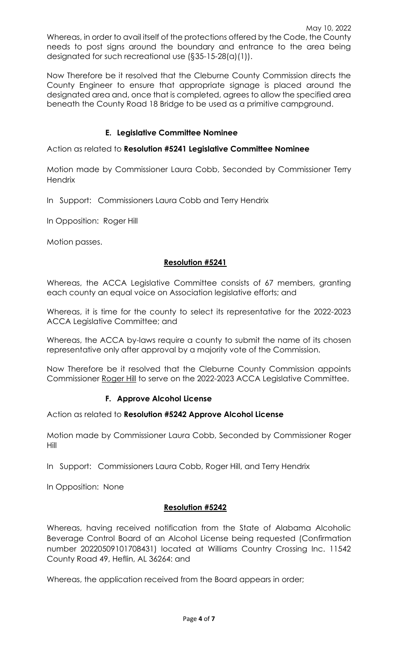Now Therefore be it resolved that the Cleburne County Commission directs the County Engineer to ensure that appropriate signage is placed around the designated area and, once that is completed, agrees to allow the specified area beneath the County Road 18 Bridge to be used as a primitive campground.

# **E. Legislative Committee Nominee**

Action as related to **Resolution #5241 Legislative Committee Nominee**

Motion made by Commissioner Laura Cobb, Seconded by Commissioner Terry **Hendrix** 

In Support: Commissioners Laura Cobb and Terry Hendrix

In Opposition: Roger Hill

Motion passes.

# **Resolution #5241**

Whereas, the ACCA Legislative Committee consists of 67 members, granting each county an equal voice on Association legislative efforts; and

Whereas, it is time for the county to select its representative for the 2022-2023 ACCA Legislative Committee; and

Whereas, the ACCA by-laws require a county to submit the name of its chosen representative only after approval by a majority vote of the Commission.

Now Therefore be it resolved that the Cleburne County Commission appoints Commissioner Roger Hill to serve on the 2022-2023 ACCA Legislative Committee.

# **F. Approve Alcohol License**

Action as related to **Resolution #5242 Approve Alcohol License**

Motion made by Commissioner Laura Cobb, Seconded by Commissioner Roger Hill

In Support: Commissioners Laura Cobb, Roger Hill, and Terry Hendrix

In Opposition: None

### **Resolution #5242**

Whereas, having received notification from the State of Alabama Alcoholic Beverage Control Board of an Alcohol License being requested (Confirmation number 20220509101708431) located at Williams Country Crossing Inc. 11542 County Road 49, Heflin, AL 36264: and

Whereas, the application received from the Board appears in order;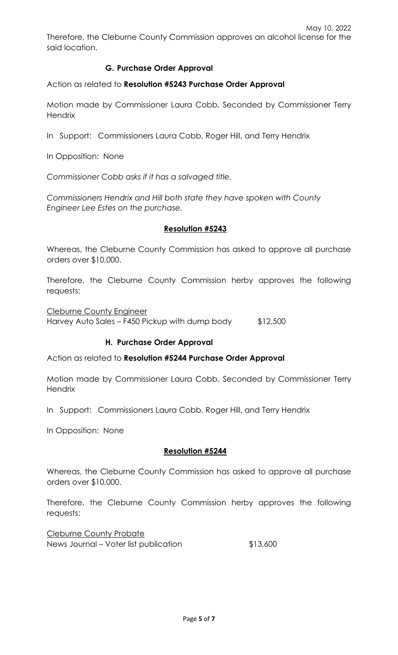# **G. Purchase Order Approval**

Action as related to **Resolution #5243 Purchase Order Approval**

Motion made by Commissioner Laura Cobb, Seconded by Commissioner Terry **Hendrix** 

In Support: Commissioners Laura Cobb, Roger Hill, and Terry Hendrix

In Opposition: None

*Commissioner Cobb asks if it has a salvaged title.*

*Commissioners Hendrix and Hill both state they have spoken with County Engineer Lee Estes on the purchase.*

### **Resolution #5243**

Whereas, the Cleburne County Commission has asked to approve all purchase orders over \$10,000.

Therefore, the Cleburne County Commission herby approves the following requests:

Cleburne County Engineer Harvey Auto Sales – F450 Pickup with dump body \$12,500

# **H. Purchase Order Approval**

Action as related to **Resolution #5244 Purchase Order Approval**

Motion made by Commissioner Laura Cobb, Seconded by Commissioner Terry **Hendrix** 

In Support: Commissioners Laura Cobb, Roger Hill, and Terry Hendrix

In Opposition: None

### **Resolution #5244**

Whereas, the Cleburne County Commission has asked to approve all purchase orders over \$10,000.

Therefore, the Cleburne County Commission herby approves the following requests:

Cleburne County Probate News Journal – Voter list publication  $$13,600$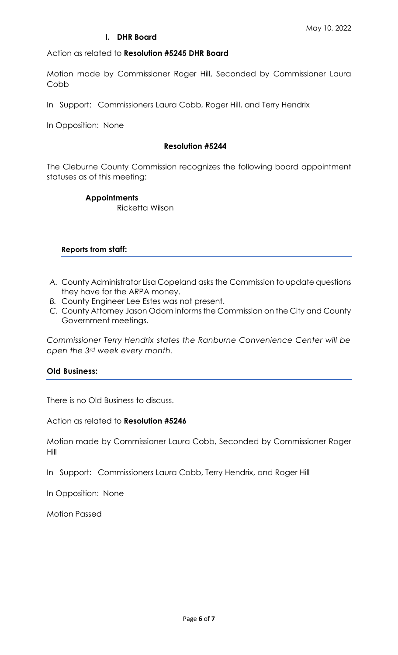### **I. DHR Board**

Action as related to **Resolution #5245 DHR Board**

Motion made by Commissioner Roger Hill, Seconded by Commissioner Laura Cobb

In Support: Commissioners Laura Cobb, Roger Hill, and Terry Hendrix

In Opposition: None

#### **Resolution #5244**

The Cleburne County Commission recognizes the following board appointment statuses as of this meeting:

#### **Appointments**

Ricketta Wilson

#### **Reports from staff:**

- *A.* County Administrator Lisa Copeland asks the Commission to update questions they have for the ARPA money.
- *B.* County Engineer Lee Estes was not present.
- *C.* County Attorney Jason Odom informs the Commission on the City and County Government meetings.

*Commissioner Terry Hendrix states the Ranburne Convenience Center will be open the 3rd week every month.*

### **Old Business:**

There is no Old Business to discuss.

Action as related to **Resolution #5246**

Motion made by Commissioner Laura Cobb, Seconded by Commissioner Roger Hill

In Support: Commissioners Laura Cobb, Terry Hendrix, and Roger Hill

In Opposition: None

Motion Passed